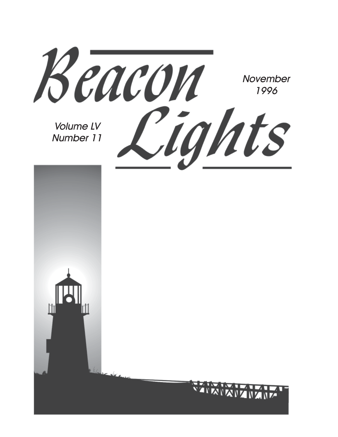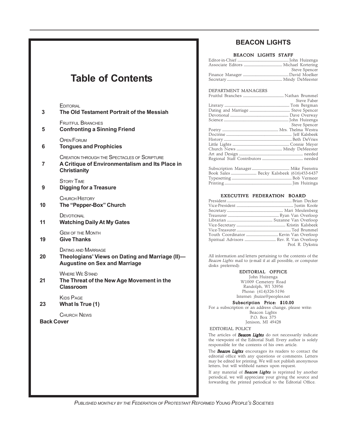# **Table of Contents**

| 3                                       | EDITORIAL<br>The Old Testament Portrait of the Messiah                                                                        |  |
|-----------------------------------------|-------------------------------------------------------------------------------------------------------------------------------|--|
| 5                                       | <b>FRUITFUL BRANCHES</b><br><b>Confronting a Sinning Friend</b>                                                               |  |
| 6                                       | <b>OPEN FORUM</b><br><b>Tongues and Prophicies</b>                                                                            |  |
| 7                                       | <b>CREATION THROUGH THE SPECTACLES OF SCRIPTURE</b><br>A Critique of Environmentalism and Its Place in<br><b>Christianity</b> |  |
| 9                                       | <b>STORY TIME</b><br><b>Digging for a Treasure</b>                                                                            |  |
| 10                                      | <b>CHURCH HISTORY</b><br>The "Pepper-Box" Church                                                                              |  |
| 11                                      | DEVOTIONAL<br><b>Watching Daily At My Gates</b>                                                                               |  |
| 19                                      | <b>GEM OF THE MONTH</b><br><b>Give Thanks</b>                                                                                 |  |
| 20                                      | <b>DATING AND MARRIAGE</b><br>Theologians' Views on Dating and Marriage (II)-<br><b>Augustine on Sex and Marriage</b>         |  |
| 21                                      | <b>WHERE WE STAND</b><br>The Threat of the New Age Movement in the<br>Classroom                                               |  |
| 23                                      | <b>KIDS PAGE</b><br>What Is True (1)                                                                                          |  |
| <b>CHURCH NEWS</b><br><b>Back Cover</b> |                                                                                                                               |  |
|                                         |                                                                                                                               |  |
|                                         |                                                                                                                               |  |
|                                         |                                                                                                                               |  |

### **BEACON LIGHTS**

#### BEACON LIGHTS STAFF

| Steve Spencer |
|---------------|
|               |
|               |

#### DEPARTMENT MANAGERS

|                                                                                                                                                                                                                                | Steve Faber                                                                                                                                                                                                                                                                                      |
|--------------------------------------------------------------------------------------------------------------------------------------------------------------------------------------------------------------------------------|--------------------------------------------------------------------------------------------------------------------------------------------------------------------------------------------------------------------------------------------------------------------------------------------------|
|                                                                                                                                                                                                                                |                                                                                                                                                                                                                                                                                                  |
|                                                                                                                                                                                                                                |                                                                                                                                                                                                                                                                                                  |
|                                                                                                                                                                                                                                |                                                                                                                                                                                                                                                                                                  |
|                                                                                                                                                                                                                                |                                                                                                                                                                                                                                                                                                  |
|                                                                                                                                                                                                                                | Steve Spencer                                                                                                                                                                                                                                                                                    |
|                                                                                                                                                                                                                                |                                                                                                                                                                                                                                                                                                  |
|                                                                                                                                                                                                                                |                                                                                                                                                                                                                                                                                                  |
|                                                                                                                                                                                                                                |                                                                                                                                                                                                                                                                                                  |
|                                                                                                                                                                                                                                |                                                                                                                                                                                                                                                                                                  |
|                                                                                                                                                                                                                                |                                                                                                                                                                                                                                                                                                  |
|                                                                                                                                                                                                                                |                                                                                                                                                                                                                                                                                                  |
|                                                                                                                                                                                                                                |                                                                                                                                                                                                                                                                                                  |
|                                                                                                                                                                                                                                |                                                                                                                                                                                                                                                                                                  |
| Configuration Measures and Constitution of the Constitution of the Constitution of the Constitution of the Constitution of the Constitution of the Constitution of the Constitution of the Constitution of the Constitution of | $\mathbf{M}$ and $\mathbf{M}$ and $\mathbf{M}$ and $\mathbf{M}$ and $\mathbf{M}$ and $\mathbf{M}$ and $\mathbf{M}$ and $\mathbf{M}$ and $\mathbf{M}$ and $\mathbf{M}$ and $\mathbf{M}$ and $\mathbf{M}$ and $\mathbf{M}$ and $\mathbf{M}$ and $\mathbf{M}$ and $\mathbf{M}$ and $\mathbf{M}$ and |

#### EXECUTIVE FEDERATION BOARD

| Prof. R. Dykstra |
|------------------|
|                  |

All information and letters pertaining to the contents of the *Beacon Lights* mail to (e-mail if at all possible, or computer disks preferred):

#### EDITORIAL OFFICE

John Huizenga W1009 Cemetery Road Randolph, WI 53956 Phone: (414)326-5196 Internet: jhuize@peoples.net

Subscription Price: \$10.00 For a subscription or an address change, please write: Beacon Lights

P.O. Box 375 Jenison, MI 49428

EDITORIAL POLICY

The articles of *Beacon Lights* do not necessarily indicate the viewpoint of the Editorial Staff. Every author is solely responsible for the contents of his own article.

The *Beacon Lights* encourages its readers to contact the editorial office with any questions or comments. Letters may be edited for printing. We will not publish anonymous letters, but will withhold names upon request.

If any material of *Beacon Lights* is reprinted by another periodical, we will appreciate your giving the source and forwarding the printed periodical to the Editorial Office.

*PUBLISHED MONTHLY BY THE FEDERATION OF PROTESTANT REFORMED YOUNG PEOPLE'S SOCIETIES*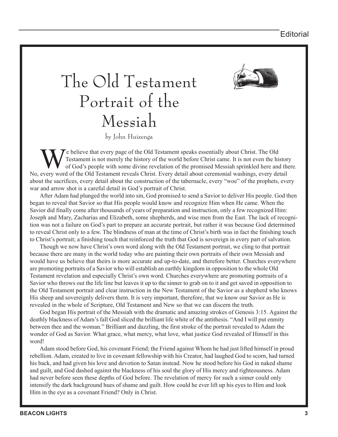

# The Old Testament Portrait of the Messiah

by John Huizenga

We believe that every page of the Old Testament speaks essentially about Christ. The Old Testament is not merely the history of the world before Christ came. It is not even the history of God's people with some divine revelation of the promised Messiah sprinkled here and there. No, every word of the Old Testament reveals Christ. Every detail about ceremonial washings, every detail about the sacrifices, every detail about the construction of the tabernacle, every "woe" of the prophets, every war and arrow shot is a careful detail in God's portrait of Christ.

After Adam had plunged the world into sin, God promised to send a Savior to deliver His people. God then began to reveal that Savior so that His people would know and recognize Him when He came. When the Savior did finally come after thousands of years of preparation and instruction, only a few recognized Him: Joseph and Mary, Zacharias and Elizabeth, some shepherds, and wise men from the East. The lack of recognition was not a failure on God's part to prepare an accurate portrait, but rather it was because God determined to reveal Christ only to a few. The blindness of man at the time of Christ's birth was in fact the finishing touch to Christ's portrait; a finishing touch that reinforced the truth that God is sovereign in every part of salvation.

Though we now have Christ's own word along with the Old Testament portrait, we cling to that portrait because there are many in the world today who are painting their own portraits of their own Messiah and would have us believe that theirs is more accurate and up-to-date, and therefore better. Churches everywhere are promoting portraits of a Savior who will establish an earthly kingdom in opposition to the whole Old Testament revelation and especially Christ's own word. Churches everywhere are promoting portraits of a Savior who throws out the life line but leaves it up to the sinner to grab on to it and get saved in opposition to the Old Testament portrait and clear instruction in the New Testament of the Savior as a shepherd who knows His sheep and sovereignly delivers them. It is very important, therefore, that we know our Savior as He is revealed in the whole of Scripture, Old Testament and New so that we can discern the truth.

God began His portrait of the Messiah with the dramatic and amazing strokes of Genesis 3:15. Against the deathly blackness of Adam's fall God sliced the brilliant life white of the antithesis. "And I will put enmity between thee and the woman." Brilliant and dazzling, the first stroke of the portrait revealed to Adam the wonder of God as Savior. What grace, what mercy, what love, what justice God revealed of Himself in this word!

Adam stood before God, his covenant Friend; the Friend against Whom he had just lifted himself in proud rebellion. Adam, created to live in covenant fellowship with his Creator, had laughed God to scorn, had turned his back, and had given his love and devotion to Satan instead. Now he stood before his God in naked shame and guilt, and God dashed against the blackness of his soul the glory of His mercy and righteousness. Adam had never before seen these depths of God before. The revelation of mercy for such a sinner could only intensify the dark background hues of shame and guilt. How could he ever lift up his eyes to Him and look Him in the eye as a covenant Friend? Only in Christ.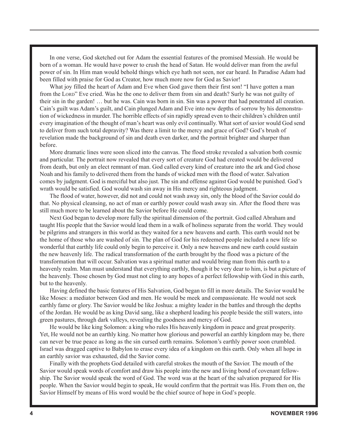In one verse, God sketched out for Adam the essential features of the promised Messiah. He would be born of a woman. He would have power to crush the head of Satan. He would deliver man from the awful power of sin. In Him man would behold things which eye hath not seen, nor ear heard. In Paradise Adam had been filled with praise for God as Creator, how much more now for God as Savior!

What joy filled the heart of Adam and Eve when God gave them their first son! "I have gotten a man from the LORD" Eve cried. Was he the one to deliver them from sin and death? Surly he was not guilty of their sin in the garden! … but he was. Cain was born in sin. Sin was a power that had penetrated all creation. Cain's guilt was Adam's guilt, and Cain plunged Adam and Eve into new depths of sorrow by his demonstration of wickedness in murder. The horrible effects of sin rapidly spread even to their children's children until every imagination of the thought of man's heart was only evil continually. What sort of savior would God send to deliver from such total depravity? Was there a limit to the mercy and grace of God? God's brush of revelation made the background of sin and death even darker, and the portrait brighter and sharper than before.

More dramatic lines were soon sliced into the canvas. The flood stroke revealed a salvation both cosmic and particular. The portrait now revealed that every sort of creature God had created would be delivered from death, but only an elect remnant of man. God called every kind of creature into the ark and God chose Noah and his family to delivered them from the hands of wicked men with the flood of water. Salvation comes by judgment. God is merciful but also just. The sin and offense against God would be punished. God's wrath would be satisfied. God would wash sin away in His mercy and righteous judgment.

The flood of water, however, did not and could not wash away sin, only the blood of the Savior could do that. No physical cleansing, no act of man or earthly power could wash away sin. After the flood there was still much more to be learned about the Savior before He could come.

Next God began to develop more fully the spiritual dimension of the portrait. God called Abraham and taught His people that the Savior would lead them in a walk of holiness separate from the world. They would be pilgrims and strangers in this world as they waited for a new heavens and earth. This earth would not be the home of those who are washed of sin. The plan of God for his redeemed people included a new life so wonderful that earthly life could only begin to perceive it. Only a new heavens and new earth could sustain the new heavenly life. The radical transformation of the earth brought by the flood was a picture of the transformation that will occur. Salvation was a spiritual matter and would bring man from this earth to a heavenly realm. Man must understand that everything earthly, though it be very dear to him, is but a picture of the heavenly. Those chosen by God must not cling to any hopes of a perfect fellowship with God in this earth, but to the heavenly.

Having defined the basic features of His Salvation, God began to fill in more details. The Savior would be like Moses: a mediator between God and men. He would be meek and compassionate. He would not seek earthly fame or glory. The Savior would be like Joshua: a mighty leader in the battles and through the depths of the Jordan. He would be as king David sang, like a shepherd leading his people beside the still waters, into green pastures, through dark valleys, revealing the goodness and mercy of God.

He would be like king Solomon: a king who rules His heavenly kingdom in peace and great prosperity. Yet, He would not be an earthly king. No matter how glorious and powerful an earthly kingdom may be, there can never be true peace as long as the sin cursed earth remains. Solomon's earthly power soon crumbled. Israel was dragged captive to Babylon to erase every idea of a kingdom on this earth. Only when all hope in an earthly savior was exhausted, did the Savior come.

Finally with the prophets God detailed with careful strokes the mouth of the Savior. The mouth of the Savior would speak words of comfort and draw his people into the new and living bond of covenant fellowship. The Savior would speak the word of God. The word was at the heart of the salvation prepared for His people. When the Savior would begin to speak, He would confirm that the portrait was His. From then on, the Savior Himself by means of His word would be the chief source of hope in God's people.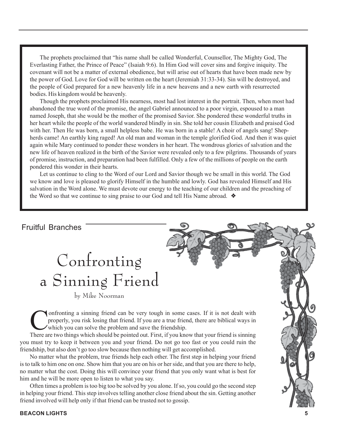The prophets proclaimed that "his name shall be called Wonderful, Counsellor, The Mighty God, The Everlasting Father, the Prince of Peace" (Isaiah 9:6). In Him God will cover sins and forgive iniquity. The covenant will not be a matter of external obedience, but will arise out of hearts that have been made new by the power of God. Love for God will be written on the heart (Jeremiah 31:33-34). Sin will be destroyed, and the people of God prepared for a new heavenly life in a new heavens and a new earth with resurrected bodies. His kingdom would be heavenly.

Though the prophets proclaimed His nearness, most had lost interest in the portrait. Then, when most had abandoned the true word of the promise, the angel Gabriel announced to a poor virgin, espoused to a man named Joseph, that she would be the mother of the promised Savior. She pondered these wonderful truths in her heart while the people of the world wandered blindly in sin. She told her cousin Elizabeth and praised God with her. Then He was born, a small helpless babe. He was born in a stable! A choir of angels sang! Shepherds came! An earthly king raged! An old man and woman in the temple glorified God. And then it was quiet again while Mary continued to ponder these wonders in her heart. The wondrous glories of salvation and the new life of heaven realized in the birth of the Savior were revealed only to a few pilgrims. Thousands of years of promise, instruction, and preparation had been fulfilled. Only a few of the millions of people on the earth pondered this wonder in their hearts.

Let us continue to cling to the Word of our Lord and Savior though we be small in this world. The God we know and love is pleased to glorify Himself in the humble and lowly. God has revealed Himself and His salvation in the Word alone. We must devote our energy to the teaching of our children and the preaching of the Word so that we continue to sing praise to our God and tell His Name abroad. ❖

#### Fruitful Branches

# Confronting a Sinning Friend

by Mike Noorman

Confronting a sinning friend can be very tough in some cases. If it is not dealt with<br>properly, you risk losing that friend. If you are a true friend, there are biblical ways in<br>which you can solve the problem and save the properly, you risk losing that friend. If you are a true friend, there are biblical ways in which you can solve the problem and save the friendship.

There are two things which should be pointed out. First, if you know that your friend is sinning you must try to keep it between you and your friend. Do not go too fast or you could ruin the friendship, but also don't go too slow because then nothing will get accomplished.

No matter what the problem, true friends help each other. The first step in helping your friend is to talk to him one on one. Show him that you are on his or her side, and that you are there to help, no matter what the cost. Doing this will convince your friend that you only want what is best for him and he will be more open to listen to what you say.

Often times a problem is too big too be solved by you alone. If so, you could go the second step in helping your friend. This step involves telling another close friend about the sin. Getting another friend involved will help only if that friend can be trusted not to gossip.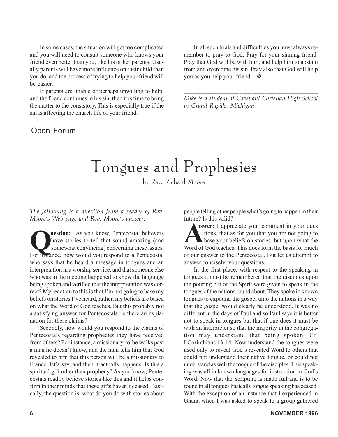In some cases, the situation will get too complicated and you will need to consult someone who knows your friend even better than you, like his or her parents. Usually parents will have more influence on their child than you do, and the process of trying to help your friend will be easier.

If parents are unable or perhaps unwilling to help, and the friend continues in his sin, then it is time to bring the matter to the consistory. This is especially true if the sin is affecting the church life of your friend.

# Open Forum

In all such trials and difficulties you must always remember to pray to God. Pray for your sinning friend. Pray that God will be with him, and help him to abstain from and overcome his sin. Pray also that God will help you as you help your friend. ❖

*\_\_\_\_\_\_\_\_\_\_\_\_\_\_\_\_\_\_\_\_\_\_\_\_\_\_\_\_\_\_\_\_\_\_\_\_\_\_\_\_\_ Mike is a student at Covenant Christian High School in Grand Rapids, Michigan.*

# Tongues and Prophesies

by Rev. Richard Moore

*The following is a question from a reader of Rev. Moore's Web page and Rev. Moore's answer.*

**Question:** "As you know, Pentecostal believers<br>
have stories to tell that sound amazing (and<br>
somewhat convincing) concerning these issues. have stories to tell that sound amazing (and For instance, how would you respond to a Pentecostal who says that he heard a message in tongues and an interpretation in a worship service, and that someone else who was in the meeting happened to know the language being spoken and verified that the interpretation was correct? My reaction to this is that I'm not going to base my beliefs on stories I've heard, rather, my beliefs are based on what the Word of God teaches. But this probably not a satisfying answer for Pentecostals. Is there an explanation for these claims?

Secondly, how would you respond to the claims of Pentecostals regarding prophecies they have received from others? For instance, a missionary-to-be walks past a man he doesn't know, and the man tells him that God revealed to him that this person will be a missionary to France, let's say, and then it actually happens. Is this a spiritual gift other than prophecy? As you know, Pentecostals readily believe stories like this and it helps confirm in their minds that these gifts haven't ceased. Basically, the question is: what do you do with stories about

people telling other people what's going to happen in their future? Is this valid?

**ALANCE THEORY IS that as for your comment in your questions, that as for you that you are not going to base your beliefs on stories, but upon what the Word of God teaches. This does form the basis for much nswer:** I appreciate your comment in your ques tions, that as for you that you are not going to **L** base your beliefs on stories, but upon what the of our answer to the Pentecostal. But let us attempt to answer concisely your questions.

In the first place, with respect to the speaking in tongues it must be remembered that the disciples upon the pouring out of the Spirit were given to speak in the tongues of the nations round about. They spoke in known tongues to expound the gospel unto the nations in a way that the gospel would clearly be understood. It was no different in the days of Paul and so Paul says it is better not to speak in tongues but that if one does it must be with an interpreter so that the majority in the congregation may understand that being spoken. Cf. I Corinthians 13-14. Now understand the tongues were used only to reveal God's revealed Word to others that could not understand their native tongue, or could not understand as well the tongue of the disciples. This speaking was all in known languages for instruction in God's Word. Now that the Scripture is made full and is to be found in all tongues basically tongue speaking has ceased. With the exception of an instance that I experienced in Ghana when I was asked to speak to a group gathered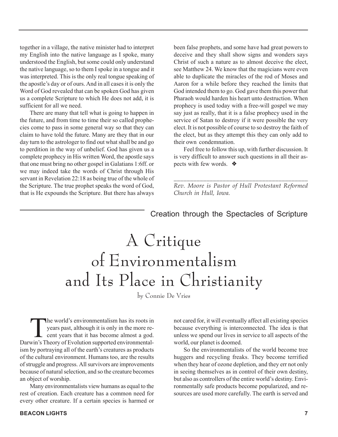together in a village, the native minister had to interpret my English into the native language as I spoke, many understood the English, but some could only understand the native language, so to them I spoke in a tongue and it was interpreted. This is the only real tongue speaking of the apostle's day or of ours. And in all cases it is only the Word of God revealed that can be spoken God has given us a complete Scripture to which He does not add, it is sufficient for all we need.

There are many that tell what is going to happen in the future, and from time to time their so called prophecies come to pass in some general way so that they can claim to have told the future. Many are they that in our day turn to the astrologer to find out what shall be and go to perdition in the way of unbelief. God has given us a complete prophecy in His written Word, the apostle says that one must bring no other gospel in Galatians 1:6ff. or we may indeed take the words of Christ through His servant in Revelation 22:18 as being true of the whole of the Scripture. The true prophet speaks the word of God, that is He expounds the Scripture. But there has always

been false prophets, and some have had great powers to deceive and they shall show signs and wonders says Christ of such a nature as to almost deceive the elect, see Matthew 24. We know that the magicians were even able to duplicate the miracles of the rod of Moses and Aaron for a while before they reached the limits that God intended them to go. God gave them this power that Pharaoh would harden his heart unto destruction. When prophecy is used today with a free-will gospel we may say just as really, that it is a false prophecy used in the service of Satan to destroy if it were possible the very elect. It is not possible of course to so destroy the faith of the elect, but as they attempt this they can only add to their own condemnation.

Feel free to follow this up, with further discussion. It is very difficult to answer such questions in all their aspects with few words. ❖

*\_\_\_\_\_\_\_\_\_\_\_\_\_\_\_\_\_\_\_\_\_\_\_\_\_\_\_\_\_\_\_\_\_\_\_\_\_\_\_\_\_ Rev. Moore is Pastor of Hull Protestant Reformed Church in Hull, Iowa.*

#### Creation through the Spectacles of Scripture

# A Critique of Environmentalism and Its Place in Christianity

by Connie De Vries

The world's environmentalism has its roots in<br>years past, although it is only in the more re-<br>cent years that it has become almost a god. years past, although it is only in the more re- $\overline{\phantom{a}}$  cent years that it has become almost a god. Darwin's Theory of Evolution supported environmentalism by portraying all of the earth's creatures as products of the cultural environment. Humans too, are the results of struggle and progress. All survivors are improvements because of natural selection, and so the creature becomes an object of worship.

Many environmentalists view humans as equal to the rest of creation. Each creature has a common need for every other creature. If a certain species is harmed or not cared for, it will eventually affect all existing species because everything is interconnected. The idea is that unless we spend our lives in service to all aspects of the world, our planet is doomed.

So the environmentalists of the world become tree huggers and recycling freaks. They become terrified when they hear of ozone depletion, and they err not only in seeing themselves as in control of their own destiny, but also as controllers of the entire world's destiny. Environmentally safe products become popularized, and resources are used more carefully. The earth is served and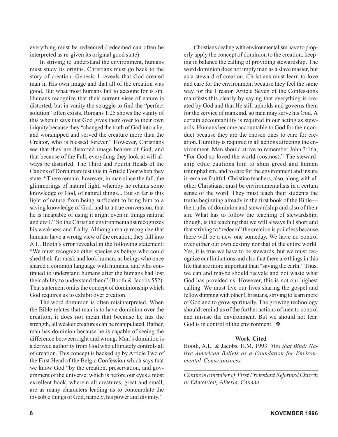everything must be redeemed (redeemed can often be interpreted as re-given its original good state).

In striving to understand the environment, humans must study its origins. Christians must go back to the story of creation. Genesis 1 reveals that God created man in His own image and that all of the creation was good. But what most humans fail to account for is sin. Humans recognize that their current view of nature is distorted, but in vanity the struggle to find the "perfect solution" often exists. Romans 1:25 shows the vanity of this when it says that God gives them over to their own iniquity because they "changed the truth of God into a lie, and worshipped and served the creature more than the Creator, who is blessed forever." However, Christians see that they are distorted image bearers of God, and that because of the Fall, everything they look at will always be distorted. The Third and Fourth Heads of the Canons of Dordt manifest this in Article Four when they state: "There remain, however, in man since the fall, the glimmerings of natural light, whereby he retains some knowledge of God, of natural things... But so far is this light of nature from being sufficient to bring him to a saving knowledge of God, and to a true conversion, that he is incapable of using it aright even in things natural and civil." So the Christian environmentalist recognizes his weakness and frailty. Although many recognize that humans have a wrong view of the creation, they fall into A.L. Booth's error revealed in the following statement: "We must recognize other species as beings who could shed their fur mask and look human, as beings who once shared a common language with humans, and who continued to understand humans after the humans had lost their ability to understand them" (Booth & Jacobs 552). That statement omits the concept of dominionship which God requires us to exhibit over creation.

The word dominion is often misinterpreted. When the Bible relates that man is to have dominion over the creation, it does not mean that because he has the strength, all weaker creatures can be manipulated. Rather, man has dominion because he is capable of seeing the difference between right and wrong. Man's dominion is a derived authority from God who ultimately controls all of creation. This concept is backed up by Article Two of the First Head of the Belgic Confession which says that we know God "by the creation, preservation, and government of the universe; which is before our eyes a most excellent book, wherein all creatures, great and small, are as many characters leading us to contemplate the invisible things of God, namely, his power and divinity."

Christians dealing with environmentalism have to properly apply the concept of dominion to the creation, keeping in balance the calling of providing stewardship. The word dominion does not imply man as a slave master, but as a steward of creation. Christians must learn to love and care for the environment because they feel the same way for the Creator. Article Seven of the Confessions manifests this clearly by saying that everything is created by God and that He still upholds and governs them for the service of mankind, so man may serve his God. A certain accountability is required in our acting as stewards. Humans become accountable to God for their conduct because they are the chosen ones to care for creation. Humility is required in all actions affecting the environment. Man should strive to remember John 3:16a, "For God so loved the world (cosmos)." The stewardship ethic cautions him to shun greed and human triumphalism, and to care for the environment and insure it remains fruitful. Christian teachers, also, along with all other Christians, must be environmentalists in a certain sense of the word. They must teach their students the truths beginning already in the first book of the Bible the truths of dominion and stewardship and also of their sin. What has to follow the teaching of stewardship, though, is the teaching that we will always fall short and that striving to "redeem" the creation is pointless because there will be a new one someday. We have no control over either our own destiny nor that of the entire world. Yes, it is true we have to be stewards, but we must recognize our limitations and also that there are things in this life that are more important than "saving the earth." Thus, we can and maybe should recycle and not waste what God has provided us. However, this is not our highest calling. We must live our lives sharing the gospel and fellowshipping with other Christians, striving to learn more of God and to grow spiritually. The growing technology should remind us of the further actions of men to control and misuse the environment. But we should not fear. God is in control of the environment. ❖

#### **Work Cited**

Booth, A.L. & Jacobs, H.M. 1993. *Ties that Bind: Native American Beliefs as a Foundation for Environmental Consciousness.*

*\_\_\_\_\_\_\_\_\_\_\_\_\_\_\_\_\_\_\_\_\_\_\_\_\_\_\_\_\_\_\_\_\_\_\_\_\_\_\_\_\_ Connie is a member of First Protestant Reformed Church in Edmonton, Alberta, Canada.*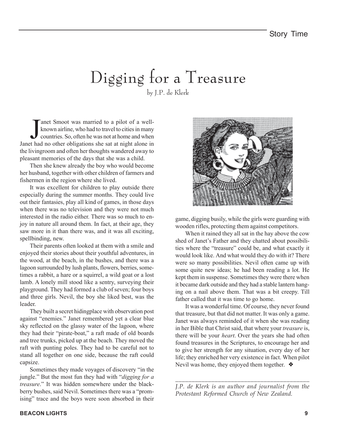# Digging for a Treasure by J.P. de Klerk

The Smoot was married to a pilot of a well-<br>known airline, who had to travel to cities in many<br>countries. So, often he was not at home and when<br>Janet had no other obligations she sat at night alone in anet Smoot was married to a pilot of a wellknown airline, who had to travel to cities in many countries. So, often he was not at home and when the livingroom and often her thoughts wandered away to pleasant memories of the days that she was a child.

Then she knew already the boy who would become her husband, together with other children of farmers and fishermen in the region where she lived.

It was excellent for children to play outside there especially during the summer months. They could live out their fantasies, play all kind of games, in those days when there was no television and they were not much interested in the radio either. There was so much to enjoy in nature all around them. In fact, at their age, they saw more in it than there was, and it was all exciting, spellbinding, new.

Their parents often looked at them with a smile and enjoyed their stories about their youthful adventures, in the wood, at the beach, in the bushes, and there was a lagoon surrounded by lush plants, flowers, berries, sometimes a rabbit, a hare or a squirrel, a wild goat or a lost lamb. A lonely mill stood like a sentry, surveying their playground. They had formed a club of seven; four boys and three girls. Nevil, the boy she liked best, was the leader.

They built a secret hidingplace with observation post against "enemies." Janet remembered yet a clear blue sky reflected on the glassy water of the lagoon, where they had their "pirate-boat," a raft made of old boards and tree trunks, picked up at the beach. They moved the raft with punting poles. They had to be careful not to stand all together on one side, because the raft could capsize.

Sometimes they made voyages of discovery "in the jungle." But the most fun they had with "*digging for a treasure*." It was hidden somewhere under the blackberry bushes, said Nevil. Sometimes there was a "promising" trace and the boys were soon absorbed in their



game, digging busily, while the girls were guarding with wooden rifles, protecting them against competitors.

When it rained they all sat in the hay above the cow shed of Janet's Father and they chatted about possibilities where the "treasure" could be, and what exactly it would look like. And what would they do with it? There were so many possibilities. Nevil often came up with some quite new ideas; he had been reading a lot. He kept them in suspense. Sometimes they were there when it became dark outside and they had a stable lantern hanging on a nail above them. That was a bit creepy. Till father called that it was time to go home.

It was a wonderful time. Of course, they never found that treasure, but that did not matter. It was only a game. Janet was always reminded of it when she was reading in her Bible that Christ said, that where your *treasure* is, there will be your *heart*. Over the years she had often found treasures in the Scriptures, to encourage her and to give her strength for any situation, every day of her life; they enriched her very existence in fact. When pilot Nevil was home, they enjoyed them together. ❖

*\_\_\_\_\_\_\_\_\_\_\_\_\_\_\_\_\_\_\_\_\_\_\_\_\_\_\_\_\_\_\_\_\_\_\_\_\_\_\_\_\_ J.P. de Klerk is an author and journalist from the Protestant Reformed Church of New Zealand.*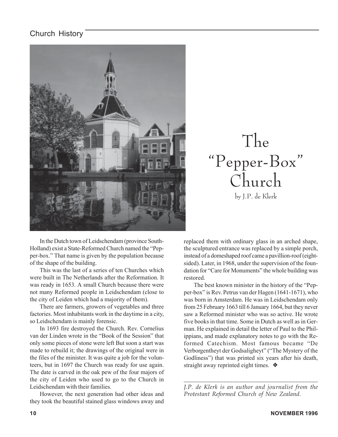## Church History



The "Pepper-Box" Church by J.P. de Klerk

In the Dutch town of Leidschendam (province South-Holland) exist a State-Reformed Church named the "Pepper-box." That name is given by the population because of the shape of the building.

This was the last of a series of ten Churches which were built in The Netherlands after the Reformation. It was ready in 1653. A small Church because there were not many Reformed people in Leidschendam (close to the city of Leiden which had a majority of them).

There are farmers, growers of vegetables and three factories. Most inhabitants work in the daytime in a city, so Leidschendam is mainly forensic.

In 1693 fire destroyed the Church. Rev. Cornelius van der Linden wrote in the "Book of the Session" that only some pieces of stone were left But soon a start was made to rebuild it; the drawings of the original were in the files of the minister. It was quite a job for the volunteers, but in 1697 the Church was ready for use again. The date is carved in the oak pew of the four majors of the city of Leiden who used to go to the Church in Leidschendam with their families.

However, the next generation had other ideas and they took the beautiful stained glass windows away and

replaced them with ordinary glass in an arched shape, the sculptured entrance was replaced by a simple porch, instead of a domeshaped roof came a pavillion-roof (eightsided). Later, in 1968, under the supervision of the foundation for "Care for Monuments" the whole building was restored.

The best known minister in the history of the "Pepper-box" is Rev. Petrus van der Hagen (1641-1671), who was born in Amsterdam. He was in Leidschendam only from 25 February 1663 till 6 January 1664, but they never saw a Reformed minister who was so active. He wrote five books in that time. Some in Dutch as well as in German. He explained in detail the letter of Paul to the Philippians, and made explanatory notes to go with the Reformed Catechism. Most famous became "De Verborgentheyt der Godsaligheyt" ("The Mystery of the Godliness") that was printed six years after his death, straight away reprinted eight times. ❖

*\_\_\_\_\_\_\_\_\_\_\_\_\_\_\_\_\_\_\_\_\_\_\_\_\_\_\_\_\_\_\_\_\_\_\_\_\_\_\_\_\_ J.P. de Klerk is an author and journalist from the Protestant Reformed Church of New Zealand.*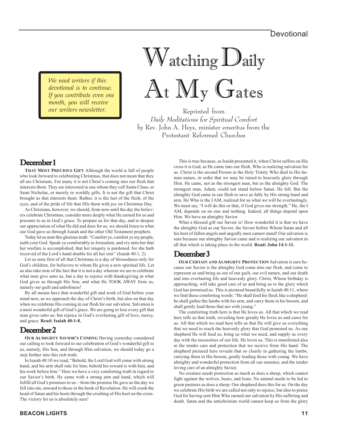*We need writers if this devotional is to continue. If you contribute even one month, you will receive our writers newsletter.*

# Watching Daily At My Gates

Reprinted from Daily Meditations for Spiritual Comfort by Rev. John A. Heys, minister emeritus from the Protestant Reformed Churches

#### December 1

**THAT MOST PRECIOUS GIFT** Although the world is full of people who look forward to celebrating Christmas, that does not mean that they all are Christians. For many it is not Christ's coming into our flesh that interests them. They are interested in one whom they call Santa Claus, or Saint Nicholas, or merely in worldly gifts. It is not the gift that Christ brought us that interests them. Rather, it is the lust of the flesh, of the eyes, and of the pride of life that fills them with joy on Christmas Day.

As Christians, however, we should, from now until the day the believers celebrate Christmas, consider more deeply what He earned for us and presents to us in God's grace. To prepare us for that day, and to deepen our appreciation of what He did and does for us, we should listen to what our God gave us through Isaiah and the other Old Testament prophets.

Today let us note this glorious truth: "Comfort ye, comfort ye my people, saith your God. Speak ye comfortably to Jerusalem, and cry unto her that her warfare is accomplished, that her iniquity is pardoned: for she hath received of the Lord's hand double for all her sins" (Isaiah 40:1, 2).

Let us note first of all that Christmas is a day of blessedness only for God's children, for believers to whom He gives a new spiritual life. Let us also take note of the fact that it is not a day wherein we are to celebrate what men give unto us, but a day to rejoice with thanksgiving in what God gives us through His Son; and what He TOOK AWAY from us, namely our guilt and unholiness!

By all means have that wonderful gift and work of God before your mind now, as we approach the day of Christ's birth, but also on that day when we celebrate His coming in our flesh for our salvation. Salvation is a most wonderful gift of God's grace. We are going to lose every gift that man gives unto us; but rejoice in God's everlasting gift of love, mercy, and grace. **Read: Isaiah 40:1-8.**

## December 2

**OUR ALMIGHTY SAVIOR'S COMING** Having yesterday considered our calling to look forward to our celebration of God's wonderful gift to us, namely, His Son, and through Him salvation, we should today go a step further into this rich truth.

In Isaiah 40:10 we read, "Behold, the Lord God will come with strong hand, and his arm shall rule for him; behold his reward is with him, and his work before him." Here we have a very comforting truth in regard to our Savior's birth. He came with a strong arm and hand, which will fulfill all God's promises to us—from the promise He gave us the day we fell into sin, onward to those in the book of Revelation. He will crush the head of Satan and his hosts through the crushing of His heel on the cross. The victory for us is absolutely sure!

This is true because, as Isaiah presented it, when Christ suffers on His cross it is God, as He came into our flesh, Who is realizing salvation for us. Christ is the second Person in the Holy Trinity Who died in His human nature, in order that we may be raised to heavenly glory through Him. He came, not as the strongest man, but as the almighty God. The strongest man, Adam, could not stand before Satan. He fell. But the almighty God came in our flesh to save us fully by His strong hand and arm. He Who is the I AM, realized for us what we will be everlastingly. We must say, "I will do this or that, if God gives me strength." He, the I AM, depends on no one and nothing. Indeed, all things depend upon Him. We have an almighty Savior.

What a blessed gift our Savior is! How wonderful it is that we have the almighty God as our Savior, the Savior before Whom Satan and all his host of fallen angels and ungodly men cannot stand! Our salvation is sure because our almighty Savior came and is realizing our salvation in all that which is taking place in the world. **Read: John 14:1-11.**

#### December 3

**OUR CERTAIN AND ALMIGHTY PROTECTION** Salvation is sure because our Savior is the almighty God come into our flesh, and come to represent us and bring us out of our guilt, our evil nature, and our death and into everlasting life and heavenly glory. Christ, Whose birthday is approaching, will take good care of us and bring us to the glory which God has promised us. This is pictured beautifully in Isaiah 40:11, where we find these comforting words: "He shall feed his flock like a shepherd: he shall gather the lambs with his arm, and carry them in his bosom, and shall gently lead those that are with young."

The comforting truth here is that He loves us. All that which we read here tells us that truth, revealing how greatly He loves us and cares for us. All that which we read here tells us that He will give us everything that we need to reach the heavenly glory that God promised us. As our shepherd He will feed us, bring us what we need, and supply us every day with the necessities of our life. He loves us. This is manifested also in the tender care and protection that we receive from His hand. The shepherd pictured here reveals that so clearly in gathering the lambs, carrying them in His bosom, gently leading those with young. We have almighty and wonderful protection from all our enemies, and the tender loving care of an almighty Savior.

No creature needs protection as much as does a sheep, which cannot fight against the wolves, bears, and lions. No animal needs to be led to green pastures as does a sheep. Our shepherd does this for us. On the day we celebrate His birth we are called not only to rejoice, but also to praise God for having sent Him Who earned our salvation by His suffering and death. Satan and the antichristian world cannot keep us from the glory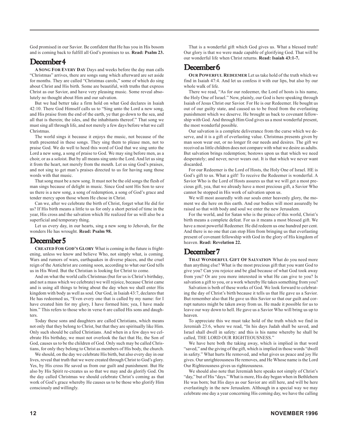God promised in our Savior. Be confident that He has you in His bosom and is coming back to fulfill all God's promises to us. **Read: Psalm 23.**

#### December 4

**A SONG FOR EVERY DAY** Days and weeks before the day man calls "Christmas" arrives, there are songs sung which afterward are set aside for months. They are called "Christmas carols," some of which do sing about Christ and His birth. Some are beautiful, with truths that express Christ as our Savior, and have very pleasing music. Some reveal absolutely no thought about Him and our salvation.

But we had better take a firm hold on what God declares in Isaiah 42:10. There God Himself calls us to "Sing unto the Lord a new song, and His praise from the end of the earth, ye that go down to the sea, and all that is therein; the isles, and the inhabitants thereof." That song we must sing all through life, and not merely a few days before what we call Christmas.

The world sings it because it enjoys the music, not because of the truth presented in these songs. They sing them to please men, not to praise God. We do well to heed this word of God that we sing unto the Lord a new song, a song of praise to God. We may sing before men, as a choir, or as a soloist. But by all means sing unto the Lord. And let us sing it from the heart, not merely from the mouth. Let us sing God's praises, and not sing to get man's praises directed to us for having sung those words with that music.

That song must be a new song. It must not be the old songs the flesh of man sings because of delight in music. Since God sent His Son to save us there is a new song, a song of redemption, a song of God's grace and tender mercy upon those whom He chose in Christ.

Can we, after we celebrate the birth of Christ, forget what He did for us? If His birth means a little to us for only a short period of time in the year, His cross and the salvation which He realized for us will also be a superficial and temporary thing.

Let us every day, in our hearts, sing a new song to Jehovah, for the wonders He has wrought. **Read: Psalm 98.**

#### December 5

**CREATED FOR GOD'S GLORY** What is coming in the future is frightening, unless we know and believe Who, not simply what, is coming. Wars and rumors of wars, earthquakes in diverse places, and the cruel reign of the Antichrist are coming soon, according to what our God tells us in His Word. But the Christian is looking for Christ to come.

And on what the world calls Christmas (but for us is Christ's birthday, and not a mass which we celebrate) we will rejoice, because Christ came and is using all things to bring about the day when we shall enter His kingdom with body as well as soul. Our God, in Isaiah 43:7, declares that He has redeemed us, "Even every one that is called by my name: for I have created him for my glory, I have formed him; yea, I have made him." This refers to those who in verse 6 are called His sons and daughters.

Today these sons and daughters are called Christians, which means not only that they belong to Christ, but that they are spiritually like Him. Only such should be called Christians. And when in a few days we celebrate His birthday, we must not overlook the fact that He, the Son of God, causes us to be the children of God. Only such may be called Christians, for only they belong to Christ as members of His body, the church.

We should, on the day we celebrate His birth, but also every day in our lives, reveal that truth that we were created through Christ to God's glory. Yes, by His cross He saved us from our guilt and punishment. But He also by His Spirit re-creates us so that we may and do glorify God. On the day called Christmas we should celebrate Christ's coming as that work of God's grace whereby He causes us to be those who glorify Him consciously and willingly.

That is a wonderful gift which God gives us. What a blessed truth! Our glory is that we were made capable of glorifying God. That will be our wonderful life when Christ returns. **Read: Isaiah 43:1-7.**

# December 6

**OUR POWERFUL REDEEMER** Let us take hold of the truth which we find in Isaiah 47:4. And let us confess it with our lips, but also by our whole walk of life.

There we read, "As for our redeemer, the Lord of hosts is his name, the Holy One of Israel." Now, plainly, our God is here speaking through Isaiah of Jesus Christ our Savior. For He is our Redeemer. He bought us out of our guilty state, and caused us to be freed from the everlasting punishment which we deserve. He brought us back to covenant fellowship with God. And through Him God gives us a most wonderful present, the most wonderful possible.

Our salvation is a complete deliverance from the curse which we deserve, and it is a gift of everlasting value. Christmas presents given by man soon wear out, or no longer fit our needs and desires. The gift we received as little children does not compare with what we desire as adults. But salvation brings redemption; bestows upon us that which we need desperately; and never, never wears out. It is that which we never want discarded.

For our Redeemer is the Lord of Hosts, the Holy One of Israel. HE is God's gift to us. What a gift! To receive the Redeemer is wonderful. A Savior Who is the Lord of Hosts assures us that we will get a most precious gift, yea, that we already have a most precious gift, a Savior Who cannot be stopped in His work of salvation upon us.

We will most assuredly with our souls enter heavenly glory, the moment we die here on this earth. And our bodies will most assuredly be raised so that with body and soul we enter the new Jerusalem.

For the world, and for Satan who is the prince of this world, Christ's birth means a complete defeat. For us it means a most blessed gift. We have a most powerful Redeemer. He did redeem us one hundred per cent. And there is no one that can stop Him from bringing us that everlasting present of covenant fellowship with God in the glory of His kingdom of heaven. **Read: Revelation 22.**

# December 7

**THAT WONDERFUL GIFT OF SALVATION** What do you need more than anything else? What is the most precious gift that you want God to give you? Can you rejoice and be glad because of what God took away from you? Or are you more interested in what He can give to you? Is salvation a gift to you, or a work whereby He takes something from you?

Salvation is both of these works of God. We look forward to celebrating the day of Christ's birth because it tells us that He gave us a Savior. But remember also that He gave us this Savior so that our guilt and corrupt natures might be taken away from us. He made it possible for us to leave our way down to hell. He gave us a Savior Who will bring us up to heaven.

To appreciate this we must take hold of the truth which we find in Jeremiah 23:6, where we read, "In his days Judah shall be saved, and Israel shall dwell in safety: and this is his name whereby he shall be called, THE LORD OUR RIGHTEOUSNESS."

We have here both the taking away, which is implied in that word "saved," and the giving of the gift, which is implied in those words "dwell in safety." What hurts He removed, and what gives us peace and joy He gives. Our unrighteousness He removes, and He Whose name is the Lord Our Righteousness gives us righteousness.

We should also note that Jeremiah here speaks not simply of Christ's "day," but of His "days." What is more, His day began when in Bethlehem He was born; but His days as our Savior are still here, and will be here everlastingly in the new Jerusalem. Although in a special way we may celebrate one day a year concerning His coming day, we have the calling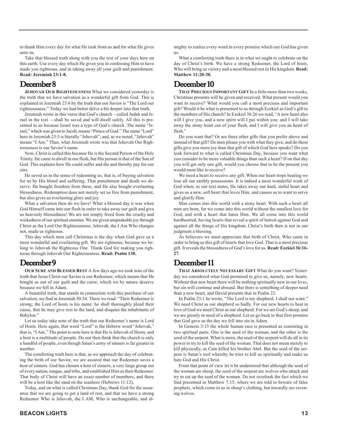Take that blessed truth along with you the rest of your days here on this earth. Use every day which He gives you in confessing Him to have made you righteous, and in taking away all your guilt and punishment. **Read: Jeremiah 23:1-8.**

# December 8

**JEHOVAH OUR RIGHTEOUSNESS** What we considered yesterday is the truth that we have salvation as a wonderful gift from God. This is explained in Jeremiah 23:6 by the truth that our Savior is "The Lord our righteousness." Today we had better delve a bit deeper into that truth.

Jeremiah wrote in this verse that God's church—called Judah and Israel in the text —shall be saved and will dwell safely. All this is presented to us because Israel was a type of God's church. The name "Israel," which was given to Jacob, means "Prince of God." The name "Lord" here in Jeremiah 23:5 is literally "Jehovah"; and, as we noted, "Jehovah" means "I Am." Thus, what Jeremiah wrote was that Jehovah Our Righteousness is our Savior's name.

Now, Christ is called this because He is the Second Person of the Holy Trinity. He came to dwell in our flesh, but His person is that of the Son of God. This explains how He could suffer and die and thereby pay for our sins.

He saved us in the sense of redeeming us, that is, of buying salvation for us by His blood and suffering. That punishment and death we deserve. He bought freedom from these, and He also bought everlasting blessedness. Redemption does not merely set us free from punishment, but also gives us everlasting glory and joy.

What a salvation then do we have! What a blessed day it was when God Himself came into our flesh in order to take away our guilt and give us heavenly blessedness! We are not simply freed from the cruelty and wickedness of our spiritual enemies. We are given unspeakable joy through Christ as the Lord Our Righteousness. Jehovah, the I Am Who changes not, made us righteous.

This day which men call Christmas is the day when God gave us a most wonderful and everlasting gift. We are righteous, because we belong to Jehovah the Righteous One. Thank God for making you righteous through Jehovah Our Righteousness. **Read: Psalm 130.**

# December 9

**OUR SURE AND BLESSED REST** A few days ago we took note of the truth that Jesus Christ our Savior is our Redeemer, which means that He bought us out of our guilt and the curse, which we by nature deserve because we fell in Adam.

A beautiful truth, that stands in connection with this purchase of our salvation, we find in Jeremiah 50:34. There we read: "Their Redeemer is strong; the Lord of hosts is his name: he shall thoroughly plead their cause, that he may give rest to the land, and disquiet the inhabitants of Babylon<sup>'</sup>

Let us today take note of the truth that our Redeemer's name is Lord of Hosts. Here again, that word "Lord" is the Hebrew word "Jehovah," that is, "I Am." The point to note here is that He is Jehovah of Hosts; and a host is a multitude of people. Do not then think that the church is only a handful of people, even though Satan's army of sinners is far greater in number.

The comforting truth here is that, as we approach the day of celebrating the birth of our Savior, we are assured that our Redeemer saves a host of sinners. God has chosen a host of sinners, a very large group out of every nation, tongue, and tribe, and established Him as their Redeemer. That body of Christ will have an exact number of members, and there will be a host like the sand on the seashore (Hebrews 11:12).

Today, and on what is called Christmas Day, thank God for the assurance that we are going to get a land of rest, and that we have a strong Redeemer Who is Jehovah, the I AM, Who is unchangeable, and almighty to realize every word in every promise which our God has given us.

What a comforting truth there is in what we ought to celebrate on the day of Christ's birth. We have a strong Redeemer, the Lord of hosts, Who will bring us victory and a most blessed rest in His kingdom. **Read: Matthew 11:20-30.**

# December 10

**THAT PRECIOUS IMPORTANT GIFT** In a little more than two weeks, Christmas presents will be given and received. What present would you want to receive? What would you call a most precious and important gift? Would it be what is presented to us through Ezekiel as God's gift to the members of His church? In Ezekiel 36:26 we read, "A new heart also will I give you, and a new spirit will I put within you: and I will take away the stony heart out of your flesh, and I will give you an heart of flesh."

Do you want that? Or are there other gifts that you prefer above and instead of that gift? Do men please you with what they give, and do these gifts give you more joy than that gift of which God here speaks? Do you look forward to what is called Christmas Day, because you want what you consider to be more valuable things than such a heart? If on that day you will get only one gift, would you choose that to be the present you would most like to receive?

We need a heart to receive any gift. When our heart stops beating we lose all our earthly possessions. It is indeed a most wonderful work of God when, as our text states, He takes away our hard, sinful heart and gives us a new, soft heart that loves Him, and causes us to want to serve and glorify Him.

Man comes into this world with a stony heart. With such a heart all men are born, for we come into this world without the smallest love for God, and with a heart that hates Him. We all come into this world hardhearted, having hearts that reveal a spirit of hatred against God and against all the things of His kingdom. Christ's birth then is not in our judgment a blessing.

As believers we must appreciate that birth of Christ, Who came in order to bring us this gift of hearts that love God. That is a most precious gift. It reveals the blessedness of God's love for us. **Read: Ezekiel 36:16- 27.**

# December 11

**THAT ABSOLUTELY NECESSARY GIFT** What do you want? Yesterday we considered what God promised to give us, namely, new hearts. Without that new heart there will be nothing spiritually new in our lives, but sin will continue and abound. But there is something of deeper need than a new heart, and David presents that in Psalm 23.

In Psalm 23:1 he wrote, "The Lord is my shepherd. I shall not want." We need Christ as our shepherd so badly. For our new hearts to beat in love of God we need Christ as our shepherd. For we are God's sheep, and we are greatly in need of a shepherd. Let us go back to that first promise that God gave us the day we fell into sin in Adam.

In Genesis 3:15 the whole human race is presented as consisting in two spiritual parts. One is the seed of the woman, and the other is the seed of the serpent. What is more, the seed of the serpent will do all in its power to try to kill the seed of the woman. That does not mean merely to kill physically, as Cain killed his brother Abel. But the seed of the serpent is Satan's tool whereby he tries to kill us spiritually and make us hate God and His Christ.

From that point of view let it be understood that although the seed of the woman are sheep, the seed of the serpent are wolves who attack and try to eat up the seed of the woman. Do not overlook the fact which we find presented in Matthew 7:15, where we are told to beware of false prophets, which come to us in sheep's clothing, but inwardly are ravening wolves.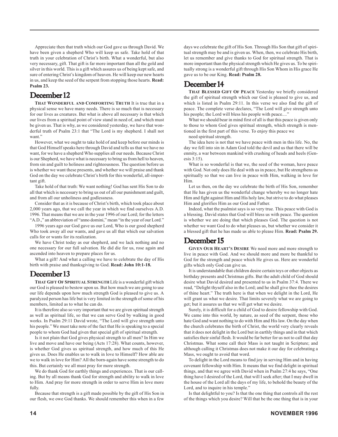Appreciate then that truth which our God gave us through David. We have been given a shepherd Who will keep us safe. Take hold of that truth in your celebration of Christ's birth. What a wonderful, but also very necessary, gift. That gift is far more important than all the gold and silver in this world. This is a gift which assures us of being kept safe, and sure of entering Christ's kingdom of heaven. He will keep our new hearts in us, and keep the seed of the serpent from stopping those hearts. **Read: Psalm 23.**

### December 12

**THAT WONDERFUL AND COMFORTING TRUTH** It is true that in a physical sense we have many needs. There is so much that is necessary for our lives as creatures. But what is above all necessary is that which our lives from a spiritual point of view stand in need of, and which must be given us. That is why, as we considered yesterday, we have that wonderful truth of Psalm 23:1 that "The Lord is my shepherd. I shall not want."

However, what we ought to take hold of and keep before our minds is that God Himself speaks here through David and tells us that we have no want, for we have a shepherd Who supplies all our needs. Because Christ is our Shepherd, we have what is necessary to bring us from hell to heaven, from sin and guilt to holiness and righteousness. The question before us is whether we want these presents, and whether we will praise and thank God on the day we celebrate Christ's birth for this wonderful, all-important gift.

Take hold of that truth: We want nothing! God has sent His Son to do all that which is necessary to bring us out of all our punishment and guilt, and from all our unholiness and godlessness.

Consider that as it is because of Christ's birth, which took place about 2,000 years ago, that we call the year in which we find ourselves A.D. 1996. That means that we are in the year 1996 of our Lord; for the letters "A.D.," an abbreviation of "anno domini," mean "in the year of our Lord."

1996 years ago our God gave us our Lord, Who is our good shepherd Who took away all our wants, and gave us all that which our salvation calls for or wants for its realization.

We have Christ today as our shepherd, and we lack nothing and no one necessary for our full salvation. He did die for us, rose again and ascended into heaven to prepare places for us.

What a gift! And what a calling we have to celebrate the day of His birth with praise and thanksgiving to God. **Read: John 10:1-18.**

## December 13

**THAT GIFT OF SPIRITUAL STRENGTH** Life is a wonderful gift which our God is pleased to bestow upon us. But how much we are going to use our life depends upon how much strength God is pleased to give us. A paralyzed person has life but is very limited in the strength of some of his members, limited as to what he can do.

It is therefore also so very important that we are given spiritual strength as well as spiritual life, so that we can serve God by walking in good works. In Psalm 29:11 David wrote, "The Lord will give strength unto his people." We must take note of the fact that He is speaking to a special people to whom God had given that special gift of spiritual strength.

Is it not plain that God gives physical strength to all men? In Him we live and move and have our being (Acts 17:28). What counts, however, is whether God gives us spiritual strength, and how much of this He gives us. Does He enables us to walk in love to Himself? How able are we to walk in love for Him? All the born-again have some strength to do this. But certainly we all must pray for more strength.

We do thank God for earthly things and experiences. That is our calling. But by all means thank God for strength and ability to walk in love to Him. And pray for more strength in order to serve Him in love more fully.

Because that strength is a gift made possible by the gift of His Son in our flesh, we owe God thanks. We should remember this when in a few days we celebrate the gift of His Son. Through His Son that gift of spiritual strength may be and is given us. When, then, we celebrate His birth, let us remember and give thanks to God for spiritual strength. That is more important than the physical strength which He gives us. To be spiritually strong is a wonderful gift through His Son Whom in His grace He gave us to be our King. **Read: Psalm 28.**

# December 14

**THAT BLESSED GIFT OF PEACE** Yesterday we briefly considered the gift of spiritual strength which our God is pleased to give us, and which is listed in Psalm 29:11. In this verse we also find the gift of peace. The complete verse declares, "The Lord will give strength unto his people; the Lord will bless his people with peace...."

What we should bear in mind first of all is that this peace is given only to those to whom God gives spiritual strength, which strength is mentioned in the first part of this verse. To enjoy this peace we

need spiritual strength.

The idea here is not that we have peace with men in this life. No, the day we fell into sin in Adam God told the devil and us that there will be enmity, a war between mankind with crushing of heads and heels (Genesis 3:15).

What is so wonderful is that we, the seed of the woman, have peace with God. Not only does He deal with us in peace, but He strengthens us spiritually so that we can live in peace with Him, walking in love for Him.

Let us then, on the day we celebrate the birth of His Son, remember that He has given us the wonderful change whereby we no longer hate Him and fight against Him and His holy law, but strive to do what pleases Him and glorifies Him as our God and Father.

Indeed, what the psalmist says is so very true. This peace with God is a blessing. David states that God will bless us with peace. The question is whether we are doing that which pleases God. The question is not whether we want God to do what pleases us, but whether we consider it a blessed gift that he has made us able to please Him. **Read: Psalm 29.**

# December 15

**GIVEN OUR HEART'S DESIRE** We need more and more strength to live in peace with God. And we should more and more be thankful to God for the strength and peace which He gives us. Here are wonderful gifts which only God can give us.

It is understandable that children desire certain toys or other objects as birthday presents and Christmas gifts. But the adult child of God should desire what David desired and presented to us in Psalm 37:4. There we read, "Delight thyself also in the Lord; and he shall give thee the desires of thine heart." The truth here is that when we delight in the Lord, He will grant us what we desire. That limits severely what we are going to get; but it assures us that we will get what we desire.

Surely, it is difficult for a child of God to desire fellowship with God. We came into this world, by nature, as seed of the serpent, those who hate God and want nothing to do with Him and His law. On the day when the church celebrates the birth of Christ, the world very clearly reveals that it does not delight in the Lord but in earthly things and in that which satisfies their sinful flesh. It would be far better for us not to call that day Christmas. What some call their Mass is not taught in Scripture; and although calling it Christmas does not make it our day for celebrating a Mass, we ought to avoid that word.

To delight in the Lord means to find joy in serving Him and in having covenant fellowship with Him. It means that we find delight in spiritual things, and that we agree with David when in Psalm 27:4 he says, "One thing have I desired of the Lord, that will I seek after; that I may dwell in the house of the Lord all the days of my life, to behold the beauty of the Lord, and to inquire in his temple."

Is that delightful to you? Is that the one thing that controls all the rest of the things which you desire? Will that be the one thing that is in your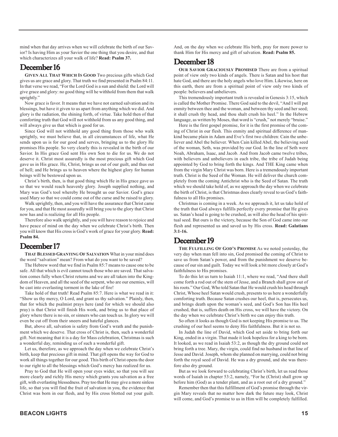mind when that day arrives when we will celebrate the birth of our Savior? Is having Him as your Savior the one thing that you desire, and that which characterizes all your walk of life? **Read: Psalm 37.**

#### December 16

**GIVEN ALL THAT WHICH IS GOOD** Two precious gifts which God gives us are grace and glory. That truth we find presented in Psalm 84:11. In that verse we read, "For the Lord God is a sun and shield: the Lord will give grace and glory: no good thing will he withhold from them that walk uprightly."

Now grace is favor. It means that we have not earned salvation and its blessings, but have it given to us apart from anything which we did. And glory is the radiation, the shining forth, of virtue. Take hold then of that comforting truth that God will not withhold from us any good thing, and will always give us that which is good for us.

Since God will not withhold any good thing from those who walk uprightly, we must believe that, in all circumstances of life, what He sends upon us is for our good and serves, bringing us to the glory He promises His people. So very clearly this is revealed in the birth of our Savior. In His grace God sent His own Son to die for us. We do not deserve it. Christ most assuredly is the most precious gift which God gave us in His grace. He, Christ, brings us out of our guilt, and thus out of hell; and He brings us to heaven where the highest glory for human beings will be bestowed upon us.

Christ's birth, then, is that good thing which He in His grace gave us so that we would reach heavenly glory. Joseph supplied nothing, and Mary was God's tool whereby He brought us our Savior. God's grace used Mary so that we could come out of the curse and be raised to glory.

Walk uprightly, then, and you will have the assurance that Christ came for you, and that He most assuredly will bring you to the glory that Christ now has and is realizing for all His people.

Therefore also walk uprightly, and you will have reason to rejoice and have peace of mind on the day when we celebrate Christ's birth. Then you will know that His cross is God's work of grace for your glory. **Read: Psalm 84.**

#### December 17

**THAT BLESSED GRANTING OF SALVATION** What in your mind does the word "salvation" mean? From what do you want to be saved?

The Hebrew word that we find in Psalm 85:7 means to cause one to be safe. All that which is evil cannot touch those who are saved. That salvation comes fully when Christ returns and we are all taken into the Kingdom of Heaven, and all the seed of the serpent, who are our enemies, will be cast into everlasting torment in the lake of fire!

Take hold of that truth! Read Psalm 85:7. Here is what we read in it: "Show us thy mercy, O Lord, and grant us thy salvation." Plainly, then, that for which the psalmist prays here (and for which we should also pray) is that Christ will finish His work, and bring us to that place of glory where there is no sin, or sinners who can touch us. In glory we will even be cut off from their sneers and hateful glances.

But, above all, salvation is safety from God's wrath and the punishment which we deserve. That cross of Christ is, then, such a wonderful gift. Not meaning that it is a day for Mass celebration, Christmas is such a wonderful day, reminding us of such a wonderful gift.

Let us, therefore, as we approach the day when we celebrate Christ's birth, keep that precious gift in mind. That gift opens the way for God to work all things together for our good. This birth of Christ opens the door to our right to all the blessings which God's mercy has realized for us.

Pray to God that He will open your eyes wider, so that you will see more clearly and richly His mercy which grants you salvation as a free gift, with everlasting blessedness. Pray too that He may give a more sinless life, so that you will find the fruit of salvation in you, the evidence that Christ was born in our flesh, and by His cross blotted out your guilt. And, on the day when we celebrate His birth, pray for more power to thank Him for His mercy and gift of salvation. **Read: Psalm 85.**

## December 18

**OUR SAVIOR GRACIOUSLY PROMISED** There are from a spiritual point of view only two kinds of angels. There is Satan and his host that hate God, and there are the holy angels who love Him. Likewise, here on this earth, there are from a spiritual point of view only two kinds of people: believers and unbelievers.

This tremendously important truth is revealed in Genesis 3:15, which is called the Mother Promise. There God said to the devil, "And I will put enmity between thee and the woman, and between thy seed and her seed; it shall crush thy head, and thou shalt crush his heel." In the Hebrew language, as written by Moses, that word is "crush," not merely "bruise."

Here is the first gospel promise, for it is the first promise of the coming of Christ in our flesh. This enmity and spiritual difference of mankind became plain in Adam and Eve's first two children: Cain the unbeliever and Abel the believer. When Cain killed Abel, the believing seed of the woman, Seth, was provided by our God. In the line of Seth were Noah, Abraham, Isaac, and Jacob. And from Jacob came twelve tribes, with believers and unbelievers in each tribe, the tribe of Judah being appointed by God to bring forth the kings. And THE King came when from the virgin Mary Christ was born. Here is a tremendously important truth. Christ is the Seed of the Woman. He will deliver the church completely from the coming Antichrist who is the Seed of Satan. The truth which we should take hold of, as we approach the day when we celebrate the birth of Christ, is that Christmas does clearly reveal to us God's faithfulness to all His promises.

Christmas is coming in a week. As we approach it, let us take hold of the truth that God always fulfills perfectly every promise that He gives us. Satan's head is going to be crushed, as will also the head of his spiritual seed. But ours is the victory, because the Son of God came into our flesh and represented us and saved us by His cross. **Read: Galatians 3:1-16.**

#### December 19

**THE FULFILLING OF GOD'S PROMISE** As we noted yesterday, the very day when man fell into sin, God promised the coming of Christ to save us from Satan's power, and from the punishment we deserve because of our sin and guilt. Today we will look a bit more closely at God's faithfulness to His promises.

To do this let us turn to Isaiah 11:1, where we read, "And there shall come forth a rod out of the stem of Jesse, and a Branch shall grow out of his roots." Our God, Who told Satan that He would crush his head through Christ, Whose heel Satan would crush, presents to us here a wonderfully comforting truth. Because Satan crushes our heel, that is, persecutes us, and brings death upon the woman's seed, and God's Son has His heel crushed, that is, suffers death on His cross, we will have the victory. On the day when we celebrate Christ's birth we can enjoy this truth.

So often it looks as though God is not keeping His promise to us. The crushing of our heel seems to deny His faithfulness. But it is not so.

In Judah the line of David, which God set aside to bring forth our King, ended in a virgin. That made it look hopeless for a king to be born. It looked, as we read in Isaiah 53:2, as though the dry ground could not bring forth a tree. Mary, the virgin, could find no husband in that line of Jesse and David. Joseph, whom she planned on marrying, could not bring forth the royal seed of David. He was a dry ground, and she was therefore also dry ground.

But as we look forward to celebrating Christ's birth, let us read those words of Isaiah in chapter 53:2, namely, "For he (Christ) shall grow up before him (God) as a tender plant, and as a root out of a dry ground."

Remember then that this fulfillment of God's promise through the virgin Mary reveals that no matter how dark the future may look, Christ will come, and God's promise to us in Him will be completely fulfilled.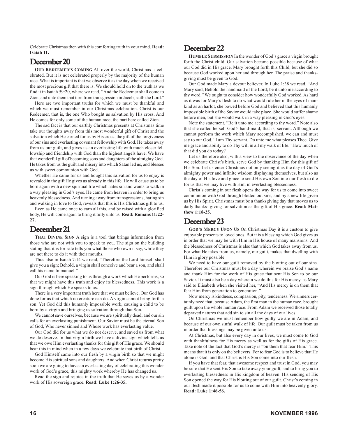Celebrate Christmas then with this comforting truth in your mind. **Read: Isaiah 11.**

# December 20

**OUR REDEEMER'S COMING** All over the world, Christmas is celebrated. But it is not celebrated properly by the majority of the human race. What is important is that we observe it as the day when we received the most precious gift that there is. We should hold on to the truth as we find it in Isaiah 59:20, where we read, "And the Redeemer shall come to Zion, and unto them that turn from transgression in Jacob, saith the Lord."

Here are two important truths for which we must be thankful and which we must remember in our Christmas celebration. Christ is our Redeemer, that is, the one Who bought us salvation by His cross. And He comes for only some of the human race, the part here called Zion.

The sad fact is that our earthly Christmas presents at Christmas time take our thoughts away from this most wonderful gift of Christ and the salvation which He earned for us by His cross, the gift of the forgiveness of our sins and everlasting covenant fellowship with God. He takes away from us our guilt, and gives us an everlasting life with much closer fellowship and friendship with God than the highest angels have. We have that wonderful gift of becoming sons and daughters of the almighty God. He takes from us the guilt and misery into which Satan led us, and blesses us with sweet communion with God.

Whether He came for us and bought this salvation for us to enjoy is revealed in the gift He gives us already in this life. He will cause us to be born again with a new spiritual life which hates sin and wants to walk in a way pleasing in God's eyes. He came from heaven in order to bring us heavenly blessedness. And turning away from transgressions, hating sin and walking in love to God, reveals that this is His Christmas gift to us.

Even as He came once to earn all this, and be raised with a glorified body, He will come again to bring it fully unto us. **Read: Romans 11:22- 27.**

## December 21

**THAT DIVINE SIGN** A sign is a tool that brings information from those who are not with you to speak to you. The sign on the building stating that it is for sale tells you what those who own it say, while they are not there to do it with their mouths.

Thus also in Isaiah 7:14 we read, "Therefore the Lord himself shall give you a sign; Behold, a virgin shall conceive and bear a son, and shall call his name Immanuel."

Our God is here speaking to us through a work which He performs, so that we might have this truth and enjoy its blessedness. This work is a sign through which He speaks to us.

There is a very important truth here that we must believe. Our God has done for us that which no creature can do. A virgin cannot bring forth a son. Yet God did this humanly impossible work, causing a child to be born by a virgin and bringing us salvation through that Son.

We cannot save ourselves, because we are spiritually dead; and our sin calls for an everlasting punishment. Our Savior must be the eternal Son of God, Who never sinned and Whose work has everlasting value.

Our God did for us what we do not deserve, and saved us from what we do deserve. In that virgin birth we have a divine sign which tells us that we owe Him everlasting thanks for this gift of His grace. We should bear this in mind when in a few days we celebrate that birth of Christ.

God Himself came into our flesh by a virgin birth so that we might become His spiritual sons and daughters. And when Christ returns pretty soon we are going to have an everlasting day of celebrating this wonder work of God's grace, this mighty work whereby He has changed us.

Read the sign and rejoice in the truth that He saves us by a wonder work of His sovereign grace. **Read: Luke 1:26-35.**

### December 22

**HUMBLE SUBMISSION** In the wonder of God's grace a virgin brought forth the Christ-child. Our salvation became possible because of what our God did in His grace. Mary brought forth this Child, but she did so because God worked upon her and through her. The praise and thanksgiving must be given to God.

Our God made Mary a devout believer. In Luke 1:38 we read, "And Mary said, Behold the handmaid of the Lord; be it unto me according to thy word." We ought to consider how wonderfully God worked. As hard as it was for Mary's flesh to do what would rule her in the eyes of mankind as an harlot, she bowed before God and believed that this humanly impossible birth of the Savior would take place. She would suffer shame before men, but she would walk in a way pleasing in God's eyes.

Note the statement, "Be it unto me according to thy word." Note also that she called herself God's hand-maid, that is, servant. Although we cannot perform the work which Mary accomplished, we can and must say to our God, "I am Thy servant. Do unto me what pleases Thee. Give me grace and ability to do Thy will in all my walk of life." How much of that did you do today?

Let us therefore also, with a view to the observance of the day when we celebrate Christ's birth, serve God by thanking Him for this gift of His Son. Let us enter Christmas not only seeing it as the day of God's almighty power and infinite wisdom displaying themselves, but also as the day of His love and grace to send His own Son into our flesh to die for us that we may live with Him in everlasting blessedness.

Christ's coming in our flesh opens the way for us to come into sweet communion with God through blotted out sins, and by a new life given us by His Spirit. Christmas must be a thanksgiving day that moves us to daily thanks- giving for salvation as the gift of His grace. **Read: Matthew 1:18-25.**

## December 23

**GOD'S MERCY UPON US** On Christmas Day it is a custom to give enjoyable presents to loved ones. But it is a blessing which God gives us in order that we may be with Him in His house of many mansions. And the blessedness of Christmas is also that which God takes away from us. For what He takes from us, namely, our guilt, makes that dwelling with Him in glory possible.

We need to have our guilt removed by the blotting out of our sins. Therefore our Christmas must be a day wherein we praise God's name and thank Him for the work of His grace that sent His Son to be our Savior. It must also be a day wherein we do this for His mercy, as Mary said to Elisabeth when she visited her, "And His mercy is on them that fear Him from generation to generation."

Now mercy is kindness, compassion, pity, tenderness. We sinners certainly need that, because Adam, the first man in the human race, brought guilt upon the whole human race. From Adam we received those totally depraved natures that add sin to sin all the days of our lives.

On Christmas we must remember how guilty we are in Adam, and because of our own sinful walk of life. Our guilt must be taken from us in order that blessings may be given unto us.

At Christmas, but also every day in our lives, we must come to God with thankfulness for His mercy as well as for the gifts of His grace. Take note of the fact that God's mercy is "on them that fear Him." This means that it is only on the believers. For to fear God is to believe that He alone is God, and that Christ is His Son come into our flesh.

If you have that fear, that awesome respect and trust in God, you may be sure that He sent His Son to take away your guilt, and to bring you to everlasting blessedness in His kingdom of heaven. His sending of His Son opened the way for His blotting out of our guilt. Christ's coming in our flesh made it possible for us to come with Him into heavenly glory. **Read: Luke 1:46-56.**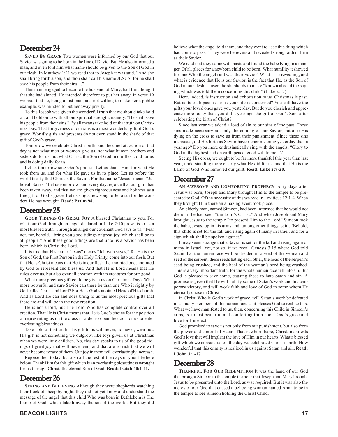#### December 24

**SAVED BY GRACE** Two women were informed by our God that our Savior was going to be born in the line of David. But He also informed a man, and even told him what name should be given to the Son of God in our flesh. In Matthew 1:21 we read that to Joseph it was said, "And she shall bring forth a son, and thou shalt call his name JESUS: for he shall save his people from their sins...."

This man, engaged to become the husband of Mary, had first thought that she had sinned. He intended therefore to put her away. In verse 19 we read that he, being a just man, and not willing to make her a public example, was minded to put her away privily.

To this Joseph was given the wonderful truth that we should take hold of, and hold on to with all our spiritual strength, namely, "He shall save his people from their sins." By all means take hold of that truth on Christmas Day. That forgiveness of our sins is a most wonderful gift of God's grace. Worldly gifts and presents do not even stand in the shade of that gift of God's grace.

Tomorrow we celebrate Christ's birth, and the chief attraction of that day is not what men or women give us, not what human brothers and sisters do for us, but what Christ, the Son of God in our flesh, did for us and is doing daily for us.

Let us tomorrow sing God's praises. Let us thank Him for what He took from us, and for what He gave us in its place. Let us before the world testify that Christ is the Savior. For that name "Jesus" means "Jehovah Saves." Let us tomorrow, and every day, rejoice that our guilt has been taken away, and that we are given righteousness and holiness as a free gift of God's grace. Let us sing a new song to Jehovah for the wonders He has wrought. **Read: Psalm 98.**

#### December 25

**GOOD TIDINGS OF GREAT JOY** A blessed Christmas to you. For what our God through an angel declared in Luke 2:10 presents to us a most blessed truth. Through an angel our covenant God says to us, "Fear not, for, behold, I bring you good tidings of great joy, which shall be to all people." And these good tidings are that unto us a Savior has been born, which is Christ the Lord.

It is true that His name "Jesus" means "Jehovah saves," for He is the Son of God, the First Person in the Holy Trinity, come into our flesh. But that He is Christ means that He is in our flesh the anointed one, anointed by God to represent and bless us. And that He is Lord means that He rules over us, but also over all creation with its creatures for our good.

What more precious gift could be given us on Christmas Day? What more powerful and sure Savior can there be than one Who is rightly by God called Christ and Lord? For He is God's anointed Head of His church. And as Lord He can and does bring to us the most precious gifts that there are and will be in the new creation.

He is not a lord, but The Lord Who has complete control over all creation. That He is Christ means that He is God's choice for the position of representing us on the cross in order to open the door for us to enter everlasting blessedness.

Take hold of that truth! His gift to us will never, no never, wear out. His gift is not something we outgrow, like toys given us at Christmas when we were little children. No, this day speaks to us of the good tidings of great joy that will never end, and that are so rich that we will never become weary of them. Our joy in them will everlastingly increase.

Rejoice then today, but also all the rest of the days of your life here below. Thank Him for this gift which is an everlasting blessedness wrought for us through Christ, the eternal Son of God. **Read: Isaiah 40:1-11.**

#### December 26

**SEEING AND BELIEVING** Although they were shepherds watching their flock of sheep by night, they did not yet know and understand the message of the angel that this child Who was born in Bethlehem is The Lamb of God, which taketh away the sin of the world. But they did

believe what the angel told them, and they went to "see this thing which had come to pass." They were believers and revealed strong faith in Him as their Savior.

We read that they came with haste and found the babe lying in a manger. Of all places for a newborn child to be born! What humility it showed for one Who the angel said was their Savior! What is so revealing, and what is evidence that He is our Savior, is the fact that He, as the Son of God in our flesh, caused the shepherds to make "known abroad the saying which was told them concerning this child" (Luke 2:17).

Here, indeed, is instruction and exhortation to us. Christmas is past. But is its truth past as far as your life is concerned? You still have the gifts your loved ones gave you yesterday. But do you cherish and appreciate more today than you did a year ago the gift of God's Son, after celebrating the birth of Christ?

Since last year we added a load of sin to our sins of the past. These sins made necessary not only the coming of our Savior, but also His dying on the cross to save us from their punishment. Since these sins increased, did His birth as Savior have richer meaning yesterday than a year ago? Do you more enthusiastically sing with the angels, "Glory to God in the highest and on earth peace, good will to men"?

Seeing His cross, we ought to be far more thankful this year than last year, understanding more clearly what He did for us, and that He is the Lamb of God Who removed our guilt. **Read: Luke 2:8-20.**

#### December 27

**AN AWESOME AND COMFORTING PROPHECY** Forty days after Jesus was born, Joseph and Mary brought Him to the temple to be presented to God. Of the necessity of this we read in Leviticus 12:1-4. When they brought Him there an amazing event took place.

An elderly man, named Simeon, had been informed that he would not die until he had seen "the Lord's Christ." And when Joseph and Mary brought Jesus to the temple "to present Him to the Lord" Simeon took the babe, Jesus, up in his arms and, among other things, said, "Behold, this child is set for the fall and rising again of many in Israel; and for a sign which shall be spoken against.'

It may seem strange that a Savior is set for the fall and rising again of many in Israel. Yet, not so, if we recall Genesis 3:15 where God told Satan that the human race will be divided into seed of the woman and seed of the serpent, these seeds hating each other, the head of the serpent's seed being crushed, and the heel of the woman's seed being crushed. This is a very important truth, for the whole human race fell into sin. But God is pleased to save some, causing these to hate Satan and sin. A promise is given that He will nullify some of Satan's work and his temporary victory, and will work faith and love of God in some whom He eternally chose in Christ.

In Christ, Who is God's work of grace, will Satan's work be defeated in as many members of the human race as it pleases God to realize this. What we have manifested to us, then, concerning this Child in Simeon's arms, is a most beautiful and comforting truth about God's grace and love for His elect.

God promised to save us not only from our punishment, but also from the power and control of Satan. That newborn babe, Christ, manifests God's love that will implant the love of Him in our hearts. What a blessed gift which we considered on the day we celebrated Christ's birth. How wonderful that this enmity is realized in us against Satan and sin. **Read: I John 3:1-17.**

#### December 28

**THANKFUL FOR OUR REDEMPTION** It was the hand of our God that brought Simeon to the temple the hour that Joseph and Mary brought Jesus to be presented unto the Lord, as was required. But it was also the mercy of our God that caused a believing woman named Anna to be in the temple to see Simeon holding the Christ Child.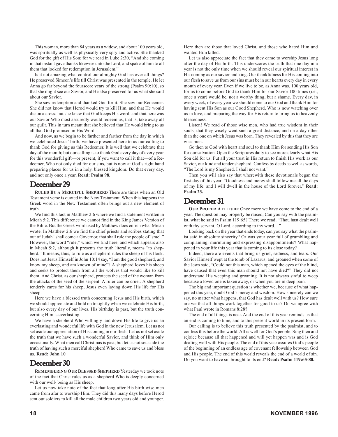This woman, more than 84 years as a widow, and about 100 years old, was spiritually as well as physically very spry and active. She thanked God for the gift of His Son; for we read in Luke 2:30, "And she coming in that instant gave thanks likewise unto the Lord, and spake of him to all them that looked for redemption in Jerusalem."

Is it not amazing what control our almighty God has over all things? He preserved Simeon's life till Christ was presented in the temple. He let Anna go far beyond the fourscore years of the strong (Psalm 90:10), so that she might see our Savior, and He also preserved for us what she said about our Savior.

She saw redemption and thanked God for it. She saw our Redeemer. She did not know that Herod would try to kill Him, and that He would die on a cross; but she knew that God keeps His word, and that here was our Savior Who most assuredly would redeem us, that is, take away all our guilt. This in turn meant that she believed that He would bring to us all that God promised in His Word.

And now, as we begin to be farther and farther from the day in which we celebrated Jesus' birth, we have presented here to us our calling to thank God for giving us this Redeemer. It is well that we celebrate that day of the month; but our calling is to thank God every day of every year for this wonderful gift—or present, if you want to call it that—of a Redeemer, Who not only died for our sins, but is now at God's right hand preparing places for us in a holy, blessed kingdom. Do that every day, and not only once a year. **Read: Psalm 98.**

#### December 29

**RULED BY A MERCIFUL SHEPHERD** There are times when an Old Testament verse is quoted in the New Testament. When this happens the Greek word in the New Testament often brings out a new element of truth.

We find this fact in Matthew 2:6 where we find a statement written in Micah 5:2. This difference we cannot find in the King James Version of the Bible. But the Greek word used by Matthew does enrich what Micah wrote. In Matthew 2:6 we find the chief priests and scribes stating that out of Judah "shall come a Governor, that shall rule the people of Israel." However, the word "rule," which we find here, and which appears also in Micah 5:2, although it presents the truth literally, means "to shepherd." It means, thus, to rule as a shepherd rules the sheep of his flock. Does not Jesus Himself in John 10:14 say, "I am the good shepherd, and know my sheep, and am known of mine"? A shepherd loves his sheep and seeks to protect them from all the wolves that would like to kill them. And Christ, as our shepherd, protects the seed of the woman from the attacks of the seed of the serpent. A ruler can be cruel. A shepherd tenderly cares for his sheep, Jesus even laying down His life for His sheep.

Here we have a blessed truth concerning Jesus and His birth, which we should appreciate and hold on to tightly when we celebrate His birth, but also every day of our lives. His birthday is past, but the truth concerning Him is everlasting.

We have a shepherd Who willingly laid down His life to give us an everlasting and wonderful life with God in the new Jerusalem. Let us not set aside our appreciation of His coming in our flesh. Let us not set aside the truth that we have such a wonderful Savior, and think of Him only occasionally. What men call Christmas is past; but let us not set aside the truth of having such a merciful shepherd Who came to save us and bless us. **Read: John 10**

#### December 30

**REMEMBERING OUR BLESSED SHEPHERD** Yesterday we took note of the fact that Christ rules us as a shepherd Who is deeply concerned with our well- being as His sheep.

Let us now take note of the fact that long after His birth wise men came from afar to worship Him. They did this many days before Herod sent out soldiers to kill all the male children two years old and younger. Here then are those that loved Christ, and those who hated Him and wanted Him killed.

Let us also appreciate the fact that they came to worship Jesus long after the day of His birth. This underscores the truth that one day in a year is not the only time when we should reveal our spiritual interest in His coming as our savior and king. Our thankfulness for His coming into our flesh to save us from our sins must be in our hearts every day in every month of every year. Even if we live to be, as Anna was, 100 years old, for us to come before God to thank Him for our Savior 100 times (i.e., once a year) would be, not a worthy thing, but a shame. Every day, in every week, of every year we should come to our God and thank Him for having sent His Son as our Good Shepherd, Who is now watching over us in love, and preparing the way for His return to bring us to heavenly blessedness.

Listen! We read of those wise men, who had true wisdom in their souls, that they wisely went such a great distance, and on a day other than the one on which Jesus was born. They revealed by this that they are wise men.

Go then to God with heart and soul to thank Him for sending His Son for our salvation. Open the Scriptures daily to see more clearly what His Son did for us. Put all your trust in His return to finish His work as our Savior, our kind and tender shepherd. Confess by deeds as well as words, "The Lord is my Shepherd. I shall not want."

Then you will also say that wherewith these devotionals began the first day of this year: "Goodness and mercy shall follow me all the days of my life: and I will dwell in the house of the Lord forever." **Read: Psalm 23.**

#### December 31

**OUR PROPER ATTITUDE** Once more we have come to the end of a year. The question may properly be raised, Can you say with the psalmist, what he said in Psalm 119:65? There we read, "Thou hast dealt well with thy servant, O Lord, according to thy word...."

Looking back on the year that ends today, can you say what the psalmist said in absolute sincerity? Or was your year full of grumbling and complaining, murmuring and expressing disappointments? What happened in your life this year that is coming to its close today?

Indeed, there are events that bring us grief, sadness, and tears. Our Savior Himself wept at the tomb of Lazarus, and groaned when some of the Jews said, "Could not this man, which opened the eyes of the blind, have caused that even this man should not have died?" They did not understand His weeping and groaning. It is not always sinful to weep because a loved one is taken away, or when you are in deep pain.

The big and important question is whether we, because of what happened this year, doubt God's mercy and wisdom. How sincerely can we say, no matter what happens, that God has dealt well with us? How sure are we that all things work together for good to us? Do we agree with what Paul wrote in Romans 8:28?

The end of all things is near. And the end of this year reminds us that an end is coming to time, and to this present world in its present form.

Our calling is to believe this truth presented by the psalmist, and to confess this before the world. All is well for God's people. Sing then and rejoice because all that happened and will yet happen was and is God dealing well with His people. The end of this year assures God's people of the beginning of an endless age of covenant fellowship between God and His people. The end of this world reveals the end of a world of sin. Do you want to have sin brought to its end? **Read: Psalm 119:65-80.**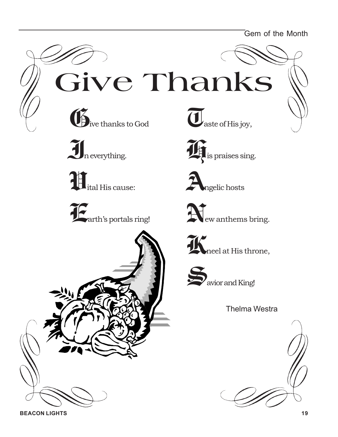Gem of the Month

**Give Thanks**





**V**ital His cause:











**N**ew anthems bring.





Thelma Westra

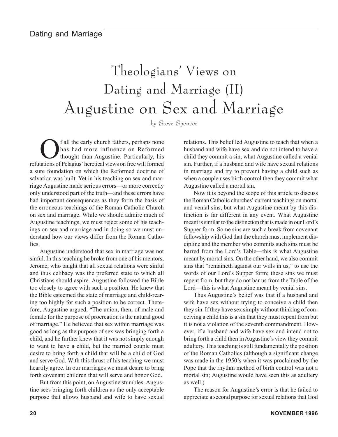# Theologians' Views on Dating and Marriage (II) Augustine on Sex and Marriage

by Steve Spencer

Of all the early church fathers, perhaps none has had more influence on Reformed thought than Augustine. Particularly, his refutations of Pelagius' heretical views on free will formed a sure foundation on which the Reformed doctrine of salvation was built. Yet in his teaching on sex and marriage Augustine made serious errors—or more correctly only understood part of the truth—and these errors have had important consequences as they form the basis of the erroneous teachings of the Roman Catholic Church on sex and marriage. While we should admire much of Augustine teachings, we must reject some of his teachings on sex and marriage and in doing so we must understand how our views differ from the Roman Catholics.

Augustine understood that sex in marriage was not sinful. In this teaching he broke from one of his mentors, Jerome, who taught that all sexual relations were sinful and thus celibacy was the preferred state to which all Christians should aspire. Augustine followed the Bible too closely to agree with such a position. He knew that the Bible esteemed the state of marriage and child-rearing too highly for such a position to be correct. Therefore, Augustine argued, "The union, then, of male and female for the purpose of procreation is the natural good of marriage." He believed that sex within marriage was good as long as the purpose of sex was bringing forth a child, and he further knew that it was not simply enough to want to have a child, but the married couple must desire to bring forth a child that will be a child of God and serve God. With this thrust of his teaching we must heartily agree. In our marriages we must desire to bring forth covenant children that will serve and honor God.

But from this point, on Augustine stumbles. Augustine sees bringing forth children as the only acceptable purpose that allows husband and wife to have sexual relations. This belief led Augustine to teach that when a husband and wife have sex and do not intend to have a child they commit a sin, what Augustine called a venial sin. Further, if a husband and wife have sexual relations in marriage and try to prevent having a child such as when a couple uses birth control then they commit what Augustine called a mortal sin.

Now it is beyond the scope of this article to discuss the Roman Catholic churches' current teachings on mortal and venial sins, but what Augustine meant by this distinction is far different in any event. What Augustine meant is similar to the distinction that is made in our Lord's Supper form. Some sins are such a break from covenant fellowship with God that the church must implement discipline and the member who commits such sins must be barred from the Lord's Table—this is what Augustine meant by mortal sins. On the other hand, we also commit sins that "remaineth against our wills in us," to use the words of our Lord's Supper form; these sins we must repent from, but they do not bar us from the Table of the Lord—this is what Augustine meant by venial sins.

Thus Augustine's belief was that if a husband and wife have sex without trying to conceive a child then they sin. If they have sex simply without thinking of conceiving a child this is a sin that they must repent from but it is not a violation of the seventh commandment. However, if a husband and wife have sex and intend not to bring forth a child then in Augustine's view they commit adultery. This teaching is still fundamentally the position of the Roman Catholics (although a significant change was made in the 1950's when it was proclaimed by the Pope that the rhythm method of birth control was not a mortal sin; Augustine would have seen this as adultery as well.)

The reason for Augustine's error is that he failed to appreciate a second purpose for sexual relations that God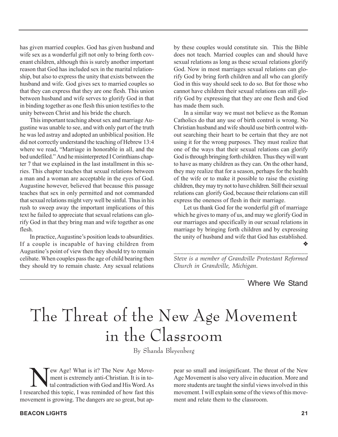has given married couples. God has given husband and wife sex as a wonderful gift not only to bring forth covenant children, although this is surely another important reason that God has included sex in the marital relationship, but also to express the unity that exists between the husband and wife. God gives sex to married couples so that they can express that they are one flesh. This union between husband and wife serves to glorify God in that in binding together as one flesh this union testifies to the unity between Christ and his bride the church.

This important teaching about sex and marriage Augustine was unable to see, and with only part of the truth he was led astray and adopted an unbiblical position. He did not correctly understand the teaching of Hebrew 13:4 where we read, "Marriage in honorable in all, and the bed undefiled." And he misinterpreted I Corinthians chapter 7 that we explained in the last installment in this series. This chapter teaches that sexual relations between a man and a woman are acceptable in the eyes of God. Augustine however, believed that because this passage teaches that sex in only permitted and not commanded that sexual relations might very well be sinful. Thus in his rush to sweep away the important implications of this text he failed to appreciate that sexual relations can glorify God in that they bring man and wife together as one flesh.

In practice, Augustine's position leads to absurdities. If a couple is incapable of having children from Augustine's point of view then they should try to remain celibate. When couples pass the age of child bearing then they should try to remain chaste. Any sexual relations

by these couples would constitute sin. This the Bible does not teach. Married couples can and should have sexual relations as long as these sexual relations glorify God. Now in most marriages sexual relations can glorify God by bring forth children and all who can glorify God in this way should seek to do so. But for those who cannot have children their sexual relations can still glorify God by expressing that they are one flesh and God has made them such.

In a similar way we must not believe as the Roman Catholics do that any use of birth control is wrong. No Christian husband and wife should use birth control without searching their heart to be certain that they are not using it for the wrong purposes. They must realize that one of the ways that their sexual relations can glorify God is through bringing forth children. Thus they will want to have as many children as they can. On the other hand, they may realize that for a season, perhaps for the health of the wife or to make it possible to raise the existing children, they may try not to have children. Still their sexual relations can glorify God, because their relations can still express the oneness of flesh in their marriage.

Let us thank God for the wonderful gift of marriage which he gives to many of us, and may we glorify God in our marriages and specifically in our sexual relations in marriage by bringing forth children and by expressing the unity of husband and wife that God has established. ❖

*\_\_\_\_\_\_\_\_\_\_\_\_\_\_\_\_\_\_\_\_\_\_\_\_\_\_\_\_\_\_\_\_\_\_\_\_\_\_\_\_\_ Steve is a member of Grandville Protestant Reformed Church in Grandville, Michigan.*

#### Where We Stand

# The Threat of the New Age Movement in the Classroom

By Shanda Bleyenberg

New Age! What is it? The New Age Move-<br>ment is extremely anti-Christian. It is in to-<br>tal contradiction with God and His Word. As ment is extremely anti-Christian. It is in total contradiction with God and His Word. As I researched this topic, I was reminded of how fast this movement is growing. The dangers are so great, but ap-

pear so small and insignificant. The threat of the New Age Movement is also very alive in education. More and more students are taught the sinful views involved in this movement. I will explain some of the views of this movement and relate them to the classroom.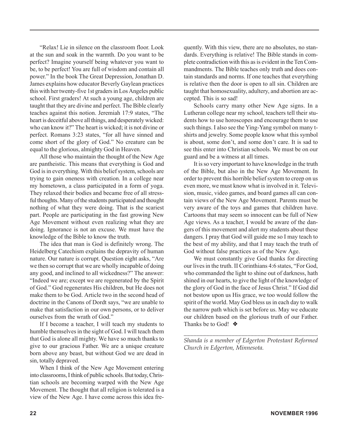"Relax! Lie in silence on the classroom floor. Look at the sun and soak in the warmth. Do you want to be perfect? Imagine yourself being whatever you want to be, to be perfect! You are full of wisdom and contain all power." In the book The Great Depression, Jonathan D. James explains how educator Beverly Gaylean practices this with her twenty-five 1st graders in Los Angeles public school. First graders! At such a young age, children are taught that they are divine and perfect. The Bible clearly teaches against this notion. Jeremiah 17:9 states, "The heart is deceitful above all things, and desperately wicked: who can know it?" The heart is wicked; it is not divine or perfect. Romans 3:23 states, "for all have sinned and come short of the glory of God." No creature can be equal to the glorious, almighty God in Heaven.

All those who maintain the thought of the New Age are pantheistic. This means that everything is God and God is in everything. With this belief system, schools are trying to gain oneness with creation. In a college near my hometown, a class participated in a form of yoga. They relaxed their bodies and became free of all stressful thoughts. Many of the students participated and thought nothing of what they were doing. That is the scariest part. People are participating in the fast growing New Age Movement without even realizing what they are doing. Ignorance is not an excuse. We must have the knowledge of the Bible to know the truth.

The idea that man is God is definitely wrong. The Heidelberg Catechism explains the depravity of human nature. Our nature is corrupt. Question eight asks, "Are we then so corrupt that we are wholly incapable of doing any good, and inclined to all wickedness?" The answer: "Indeed we are; except we are regenerated by the Spirit of God." God regenerates His children, but He does not make them to be God. Article two in the second head of doctrine in the Canons of Dordt says, "we are unable to make that satisfaction in our own persons, or to deliver ourselves from the wrath of God."

If I become a teacher, I will teach my students to humble themselves in the sight of God. I will teach them that God is alone all mighty. We have so much thanks to give to our gracious Father. We are a unique creature born above any beast, but without God we are dead in sin, totally depraved.

When I think of the New Age Movement entering into classrooms, I think of public schools. But today, Christian schools are becoming warped with the New Age Movement. The thought that all religion is tolerated is a view of the New Age. I have come across this idea frequently. With this view, there are no absolutes, no standards. Everything is relative! The Bible stands in complete contradiction with this as is evident in the Ten Commandments. The Bible teaches only truth and does contain standards and norms. If one teaches that everything is relative then the door is open to all sin. Children are taught that homosexuality, adultery, and abortion are accepted. This is so sad!

Schools carry many other New Age signs. In a Lutheran college near my school, teachers tell their students how to use horoscopes and encourage them to use such things. I also see the Ying-Yang symbol on many tshirts and jewelry. Some people know what this symbol is about, some don't, and some don't care. It is sad to see this enter into Christian schools. We must be on our guard and be a witness at all times.

It is so very important to have knowledge in the truth of the Bible, but also in the New Age Movement. In order to prevent this horrible belief system to creep on us even more, we must know what is involved in it. Television, music, video games, and board games all can contain views of the New Age Movement. Parents must be very aware of the toys and games that children have. Cartoons that may seem so innocent can be full of New Age views. As a teacher, I would be aware of the dangers of this movement and alert my students about these dangers. I pray that God will guide me so I may teach to the best of my ability, and that I may teach the truth of God without false practices as of the New Age.

We must constantly give God thanks for directing our lives in the truth. II Corinthians 4:6 states, "For God, who commanded the light to shine out of darkness, hath shined in our hearts, to give the light of the knowledge of the glory of God in the face of Jesus Christ." If God did not bestow upon us His grace, we too would follow the spirit of the world. May God bless us in each day to walk the narrow path which is set before us. May we educate our children based on the glorious truth of our Father. Thanks be to God! ❖

*\_\_\_\_\_\_\_\_\_\_\_\_\_\_\_\_\_\_\_\_\_\_\_\_\_\_\_\_\_\_\_\_\_\_\_\_\_\_\_\_\_\_ Shanda is a member of Edgerton Protestant Reformed Church in Edgerton, Minnesota.*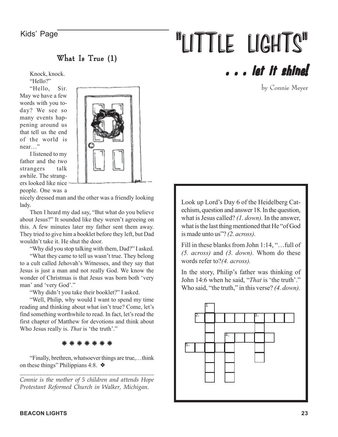What Is True  $(1)$ 

Knock, knock. "Hello?"

"Hello, Sir. May we have a few words with you today? We see so many events happening around us that tell us the end of the world is near…"

I listened to my father and the two strangers talk awhile. The strangers looked like nice

people. One was a

nicely dressed man and the other was a friendly looking lady.

Then I heard my dad say, "But what do you believe about Jesus?" It sounded like they weren't agreeing on this. A few minutes later my father sent them away. They tried to give him a booklet before they left, but Dad wouldn't take it. He shut the door.

"Why did you stop talking with them, Dad?" I asked.

"What they came to tell us wasn't true. They belong to a cult called Jehovah's Witnesses, and they say that Jesus is just a man and not really God. We know the wonder of Christmas is that Jesus was born both 'very man' and 'very God'."

"Why didn't you take their booklet?" I asked.

"Well, Philip, why would I want to spend my time reading and thinking about what isn't true? Come, let's find something worthwhile to read. In fact, let's read the first chapter of Matthew for devotions and think about Who Jesus really is. *That* is 'the truth'."

❈ ❈ ❈ ❈ ❈ ❈ ❈

"Finally, brethren, whatsoever things are true,…think on these things" Philippians 4:8. ❖

*\_\_\_\_\_\_\_\_\_\_\_\_\_\_\_\_\_\_\_\_\_\_\_\_\_\_\_\_\_\_\_\_\_\_\_\_\_\_\_\_\_ Connie is the mother of 5 children and attends Hope Protestant Reformed Church in Walker, Michigan.*

# Kids' Page **The CONTANT CONTRACTE SET OF THE LIGHTS** . . . let it shine!

by Connie Meyer

Look up Lord's Day 6 of the Heidelberg Catechism, question and answer 18. In the question, what is Jesus called? *(1. down).* In the answer, what is the last thing mentioned that He "of God is made unto us"? *(2. across).*

Fill in these blanks from John 1:14, "…full of *(5. across)* and *(3. down).* Whom do these words refer to?*(4. across).*

In the story, Philip's father was thinking of John 14:6 when he said, "*That* is 'the truth'." Who said, "the truth," in this verse? *(4. down).*